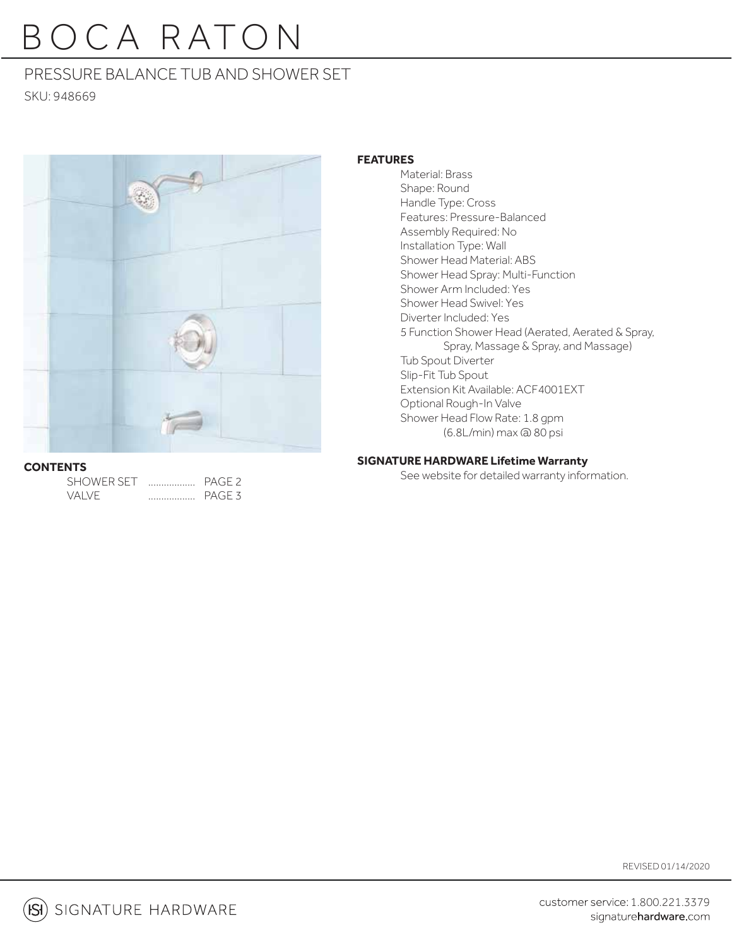# B O C A R ATO N

# PRESSURE BALANCE TUB AND SHOWER SET

SKU: 948669



### **CONTENTS**

| <b>SHOWER SET</b> |   | PAGE <sub>2</sub> |
|-------------------|---|-------------------|
| VAI VE            | . | <b>PAGE 3</b>     |

### **FEATURES**

 Material: Brass Shape: Round Handle Type: Cross Features: Pressure-Balanced Assembly Required: No Installation Type: Wall Shower Head Material: ABS Shower Head Spray: Multi-Function Shower Arm Included: Yes Shower Head Swivel: Yes Diverter Included: Yes 5 Function Shower Head (Aerated, Aerated & Spray, Spray, Massage & Spray, and Massage) Tub Spout Diverter Slip-Fit Tub Spout Extension Kit Available: ACF4001EXT Optional Rough-In Valve Shower Head Flow Rate: 1.8 gpm (6.8L/min) max @ 80 psi

### **SIGNATURE HARDWARE Lifetime Warranty**

See website for detailed warranty information.

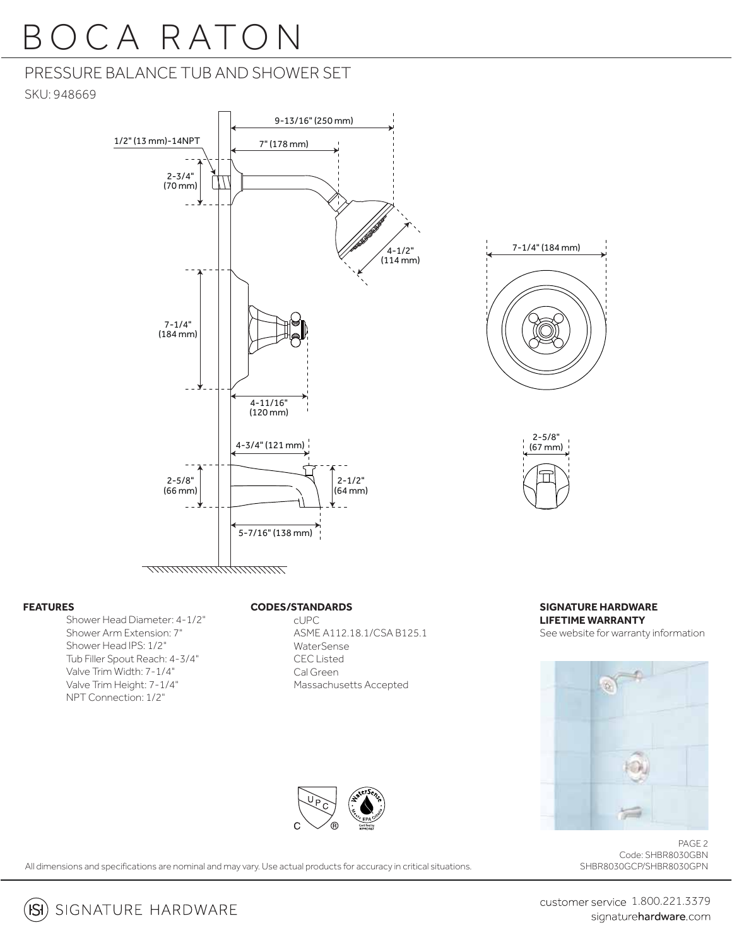# O C A RATON

## PRESSURE BALANCE TUB AND SHOWER SET

SKU: 948669



#### **FEATURES**

Shower Head Diameter: 4-1/2" Shower Arm Extension: 7" Shower Head IPS: 1/2" Tub Filler Spout Reach: 4-3/4" Valve Trim Width: 7-1/4" Valve Trim Height: 7-1/4" NPT Connection: 1/2"

#### **CODES/STANDARDS**

 cUPC ASME A112.18.1/CSA B125.1 WaterSense CEC Listed Cal Green Massachusetts Accepted





#### **SIGNATURE HARDWARE LIFETIME WARRANTY** See website for warranty information



PAGE 2 Code: SHBR8030GBN SHBR8030GCP/SHBR8030GPN

All dimensions and specifications are nominal and may vary. Use actual products for accuracy in critical situations.